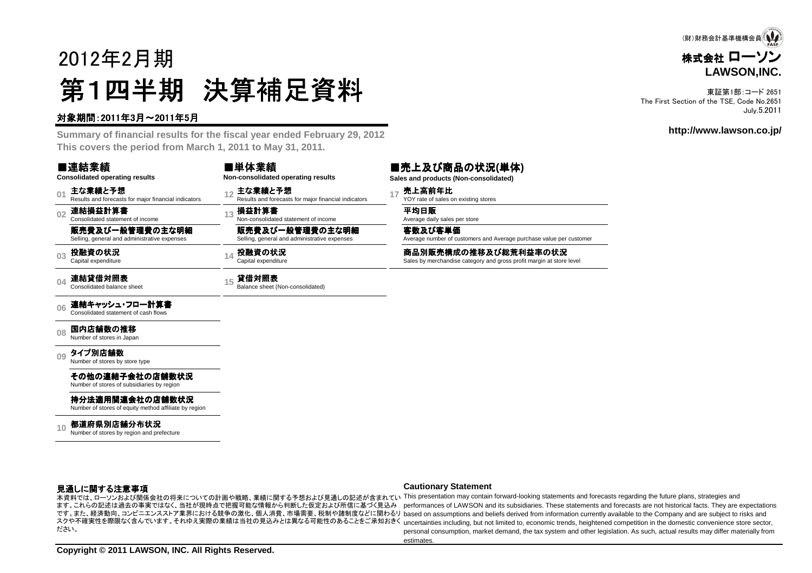# 2012年2月期第1四半期 決算補足資料

株式会社 ローソン **LAWSON,INC.**(財)財務会計基準機構会員

東証第1部:コード 2651 The First Section of the TSE, Code No.2651July.5.2011

#### **http://www.lawson.co.jp/**

#### 対象期間:2011年3月~2011年5月

 **Summary of financial results for the fiscal year ended February 29, 2012This covers the period from March 1, 2011 to May 31, 2011.**

#### ■連結業績

■単体業績

**01**主な業績と予想<br>Results and forecasts for major financial indicators

**02**連結損益計算書 Consolidated statement of income

**Consolidated operating results**

販売費及び一般管理費の主な明細Selling, general and administrative expenses

**03投融資の状況**<br>Capital expenditure

**04**連結貸借対照表<br>Consolidated balance sheet

#### **06**連結キャッシュ・フロー計算書 Consolidated statement of cash flows

**08**国内店舗数の推移<br>Number of stores in Japan

**09**タイプ別店舗数<br>Number of stores by store type

その他の連結子会社の店舗数状況

Number of stores of subsidiaries by region

持分法適用関連会社の店舗数状況

Number of stores of equity method affiliate by region

**10都道府県別店舗分布状況**<br>Number of stores by region and prefecture

| ■半冲未限                              |  |
|------------------------------------|--|
| Non-consolidated operating results |  |

**<sup>15</sup>** 貸借対照表 Balance sheet (Non-consolidated)

#### ■売上及び商品の状況**(**単体**)**

**Sales and products (Non-consolidated)**

Average number of customers and Average purchase value per customer

#### 見通しに関する注意事項

# ます。これらの記述は過去の事実ではなく、当社が現時点で把握可能な情報から判断した仮定および所信に基づく見込みださい。

#### **Cautionary Statement**

- 本資料では、ローソンおよび関係会社の将来についての計画や戦略、業績に関する予想および見通しの記述が含まれてい This presentation may contain forward-looking statements and forecasts regarding the future plans, strategies and です。また、経済動向、コンビニエンスストア業界における競争の激化、個人消費、市場需要、税制や諸制度などに関わるリ based on assumptions and beliefs derived from information currently available to the Company and are subject to risks and スクや不確実性を際限なく含んでいます。それゆえ実際の業績は当社の見込みとは異なる可能性のあることをご承知おきく uncertainties including, but not limited to, economic trends, heightened competition in the domestic convenience store sector, performances of LAWSON and its subsidiaries. These statements and forecasts are not historical facts. They are expectations personal consumption, market demand, the tax system and other legislation. As such, actual results may differ materially fromestimates

**Copyright © 2011 LAWSON, INC. All Rights Reserved.**

 **<sup>12</sup>** 主な業績と予想 Results and forecasts for major financial indicators **<sup>17</sup>** 売上高前年比 YOY rate of sales on existing stores 3 **損益計算書**<br>Non-consolidated statement of income Average daily sales per store 販売費及び一般管理費の主な明細Selling, general and administrative expenses 客数及び客単価**投融資の状況 Capital expenditure of the Sales Dy merchandise category and gross profit <b>margin at store level**<br>Capital expenditure **caregory and gross profit margin at store level**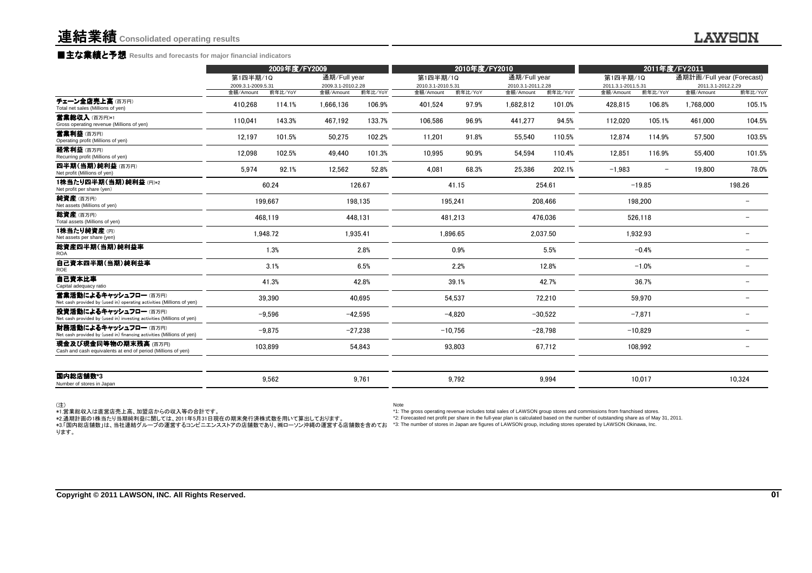### **■主な業績と予想** Results and forecasts for major financial indicators<br>←←←←←←←←←←←←←←←

|                                                                                                | 2009年度/FY2009                   |          | 2010年度/FY2010                   |           |                                 |           | 2011年度/FY2011                   |           |                                 |                          |                                 |                          |
|------------------------------------------------------------------------------------------------|---------------------------------|----------|---------------------------------|-----------|---------------------------------|-----------|---------------------------------|-----------|---------------------------------|--------------------------|---------------------------------|--------------------------|
|                                                                                                | 第1四半期/1Q                        |          | 通期/Full year                    |           | 第1四半期/1Q                        |           | 通期/Full year                    |           | 第1四半期/1Q                        |                          | 通期計画/Full year (Forecast)       |                          |
|                                                                                                | 2009.3.1-2009.5.31<br>金額/Amount | 前年比/YoY  | 2009.3.1-2010.2.28<br>金額/Amount | 前年比/YoY   | 2010.3.1-2010.5.31<br>金額/Amount | 前年比/YoY   | 2010.3.1-2011.2.28<br>金額/Amount | 前年比/YoY   | 2011.3.1-2011.5.31<br>金額/Amount | 前年比/YoY                  | 2011.3.1-2012.2.29<br>金額/Amount | 前年比/YoY                  |
| チェーン全店売上高(百万円)<br>Total net sales (Millions of yen)                                            | 410,268                         | 114.1%   | 1,666,136                       | 106.9%    | 401,524                         | 97.9%     | 1,682,812                       | 101.0%    | 428,815                         | 106.8%                   | 1,768,000                       | 105.1%                   |
| 营業総収入(百万円)*1<br>Gross operating revenue (Millions of yen)                                      | 110,041                         | 143.3%   | 467,192                         | 133.7%    | 106,586                         | 96.9%     | 441,277                         | 94.5%     | 112,020                         | 105.1%                   | 461,000                         | 104.5%                   |
| 営業利益 (百万円)<br>Operating profit (Millions of yen)                                               | 12,197                          | 101.5%   | 50.275                          | 102.2%    | 11,201                          | 91.8%     | 55,540                          | 110.5%    | 12.874                          | 114.9%                   | 57.500                          | 103.5%                   |
| 経常利益 (百万円)<br>Recurring profit (Millions of yen)                                               | 12,098                          | 102.5%   | 49,440                          | 101.3%    | 10,995                          | 90.9%     | 54,594                          | 110.4%    | 12,851                          | 116.9%                   | 55,400                          | 101.5%                   |
| 四半期(当期)純利益(百万円)<br>Net profit (Millions of yen)                                                | 5,974                           | 92.1%    | 12,562                          | 52.8%     | 4.081                           | 68.3%     | 25,386                          | 202.1%    | $-1,983$                        | $\overline{\phantom{a}}$ | 19,800                          | 78.0%                    |
| 1株当たり四半期(当期)純利益(円)*2<br>Net profit per share (yen)                                             |                                 | 60.24    |                                 | 126.67    |                                 | 41.15     |                                 | 254.61    |                                 | $-19.85$                 |                                 | 198.26                   |
| 純資産(百万円)<br>Net assets (Millions of yen)                                                       |                                 | 199,667  |                                 | 198,135   |                                 | 195,241   |                                 | 208,466   |                                 | 198,200                  |                                 |                          |
| 総資産(百万円)<br>Total assets (Millions of yen)                                                     |                                 | 468.119  |                                 | 448.131   |                                 | 481.213   |                                 | 476.036   |                                 | 526,118                  |                                 |                          |
| 1株当たり純資産(円)<br>Net assets per share (yen)                                                      |                                 | 1.948.72 |                                 | 1.935.41  | 1.896.65                        |           |                                 | 2.037.50  |                                 | 1.932.93                 |                                 |                          |
| 総資産四半期(当期)純利益率<br><b>ROA</b>                                                                   |                                 | 1.3%     |                                 | 2.8%      |                                 | 0.9%      |                                 | 5.5%      |                                 | $-0.4%$                  |                                 |                          |
| 自己資本四半期(当期)純利益率<br>ROE                                                                         |                                 | 3.1%     |                                 | 6.5%      |                                 | 2.2%      |                                 | 12.8%     |                                 | $-1.0%$                  |                                 |                          |
| 自己資本比率<br>Capital adequacy ratio                                                               |                                 | 41.3%    |                                 | 42.8%     |                                 | 39.1%     |                                 | 42.7%     |                                 | 36.7%                    |                                 | -                        |
| 営業活動によるキャッシュフロー(百万円)<br>Net cash provided by (used in) operating activities (Millions of yen)  |                                 | 39,390   |                                 | 40.695    |                                 | 54.537    |                                 | 72,210    |                                 | 59,970                   |                                 | $\overline{\phantom{0}}$ |
| 投資活動によるキャッシュフロー (百万円)<br>Net cash provided by (used in) investing activities (Millions of yen) |                                 | $-9,596$ |                                 | $-42,595$ |                                 | $-4,820$  |                                 | $-30,522$ |                                 | $-7,871$                 |                                 |                          |
| 財務活動によるキャッシュフロー(百万円)<br>Net cash provided by (used in) financing activities (Millions of yen)  |                                 | $-9,875$ |                                 | $-27.238$ |                                 | $-10.756$ |                                 | $-28.798$ |                                 | $-10.829$                |                                 |                          |
| 現金及び現金同等物の期末残高 (百万円)<br>Cash and cash equivalents at end of period (Millions of yen)           |                                 | 103,899  |                                 | 54.843    |                                 | 93.803    |                                 | 67,712    |                                 | 108,992                  |                                 |                          |
| 国内総店舗数*3<br>Number of stores in Japan                                                          |                                 | 9,562    |                                 | 9,761     |                                 | 9,792     |                                 | 9,994     |                                 | 10,017                   |                                 | 10,324                   |

(注)

Note

\*1.営業総収入は直営店売上高、加盟店からの収入等の合計です。<br>\*2.通期計画の1株当たり当期純利益に関しては、2011年5月31日現在の期末発行済株式数を用いて算出しております。<br>\*3.「国内総店舗数」は、当社連結グループの運営するコンビニエンスストアの店舗数であり、㈱ローソン沖縄の運営する店舗数を含めてお ります。

 \*1: The gross operating revenue includes total sales of LAWSON group stores and commissions from franchised stores. \*2: Forecasted net profit per share in the full-year plan is calculated based on the number of outstanding share as of May 31, 2011.\*3: The number of stores in Japan are figures of LAWSON group, including stores operated by LAWSON Okinawa, Inc.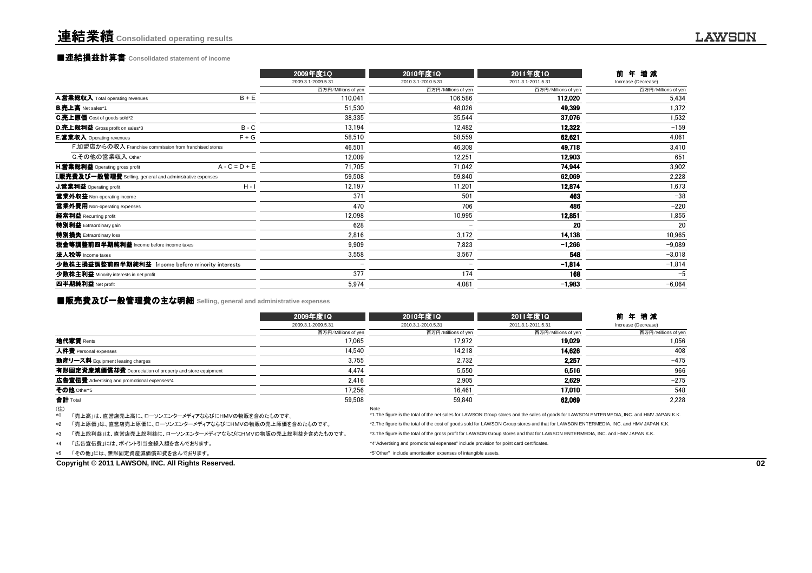### **■連結損益計算書** Consolidated statement of income

|                                                                  |                 | 2009年度1Q                 | 2010年度1Q            | 2011年度1Q            | 年増減<br>前            |
|------------------------------------------------------------------|-----------------|--------------------------|---------------------|---------------------|---------------------|
|                                                                  |                 | 2009.3.1-2009.5.31       | 2010.3.1-2010.5.31  | 2011.3.1-2011.5.31  | Increase (Decrease) |
|                                                                  |                 | 百万円/Millions of yen      | 百万円/Millions of yen | 百万円/Millions of yen | 百万円/Millions of yen |
| A.営業総収入 Total operating revenues                                 | $B + E$         | 110,041                  | 106.586             | 112,020             | 5,434               |
| <b>B.売上高</b> Net sales*1                                         |                 | 51,530                   | 48,026              | 49,399              | 1,372               |
| C.売上原価 Cost of goods sold*2                                      |                 | 38,335                   | 35,544              | 37.076              | 1,532               |
| D.売上総利益 Gross profit on sales*3                                  | $B - C$         | 13,194                   | 12,482              | 12,322              | $-159$              |
| E.営業収入 Operating revenues                                        | $F + G$         | 58,510                   | 58,559              | 62,621              | 4,061               |
| F.加盟店からの収入 Franchise commission from franchised stores           |                 | 46,501                   | 46,308              | 49,718              | 3,410               |
| G.その他の営業収入 Other                                                 |                 | 12,009                   | 12,251              | 12.903              | 651                 |
| <b>H.営業総利益</b> Operating gross profit                            | $A - C = D + E$ | 71.705                   | 71,042              | 74.944              | 3,902               |
| <b>I.販売費及び一般管理費</b> Selling, general and administrative expenses |                 | 59,508                   | 59,840              | 62,069              | 2,228               |
| J.営業利益 Operating profit                                          | $H - I$         | 12,197                   | 11,201              | 12,874              | 1,673               |
| 営業外収益 Non-operating income                                       |                 | 371                      | 501                 | 463                 | $-38$               |
| 営業外費用 Non-operating expenses                                     |                 | 470                      | 706                 | 486                 | $-220$              |
| 経常利益 Recurring profit                                            |                 | 12,098                   | 10,995              | 12,851              | 1,855               |
| 特別利益 Extraordinary gain                                          |                 | 628                      |                     | 20                  | 20                  |
| 特別損失 Extraordinary loss                                          |                 | 2.816                    | 3,172               | 14,138              | 10,965              |
| 税金等調整前四半期純利益 Income before income taxes                          |                 | 9.909                    | 7,823               | $-1,266$            | $-9.089$            |
| 法人税等 Income taxes                                                |                 | 3,558                    | 3,567               | 548                 | $-3,018$            |
| 少数株主損益調整前四半期純利益 Income before minority interests                 |                 | $\overline{\phantom{0}}$ |                     | $-1,814$            | $-1,814$            |
| 少数株主利益 Minority interests in net profit                          |                 | 377                      | 174                 | 168                 | $-5$                |
| 四半期純利益 Net profit                                                |                 | 5,974                    | 4,081               | $-1,983$            | $-6,064$            |
|                                                                  |                 |                          |                     |                     |                     |

### ■販売費及び一般管理費の主な明細 **Selling, general and administrative expenses**

| 2009年度1Q                                                                                                                                                                                    | 2010年度1Q                                                                                                | 2011年度1Q            | 増減<br>年                                                                                                                                                                                                                                                                             |  |
|---------------------------------------------------------------------------------------------------------------------------------------------------------------------------------------------|---------------------------------------------------------------------------------------------------------|---------------------|-------------------------------------------------------------------------------------------------------------------------------------------------------------------------------------------------------------------------------------------------------------------------------------|--|
| 2009.3.1-2009.5.31                                                                                                                                                                          | 2010.3.1-2010.5.31                                                                                      | 2011.3.1-2011.5.31  | Increase (Decrease)                                                                                                                                                                                                                                                                 |  |
| 百万円/Millions of yen                                                                                                                                                                         | 百万円/Millions of yen                                                                                     | 百万円/Millions of yen | 百万円/Millions of yen                                                                                                                                                                                                                                                                 |  |
| 17.065                                                                                                                                                                                      | 17.972                                                                                                  | 19.029              | 1.056                                                                                                                                                                                                                                                                               |  |
| 14.540                                                                                                                                                                                      | 14.218                                                                                                  | 14.626              | 408                                                                                                                                                                                                                                                                                 |  |
| 3.755                                                                                                                                                                                       | 2.732                                                                                                   | 2.257               | $-475$                                                                                                                                                                                                                                                                              |  |
| 4.474                                                                                                                                                                                       | 5.550                                                                                                   | 6.516               | 966                                                                                                                                                                                                                                                                                 |  |
| 2.416                                                                                                                                                                                       | 2.905                                                                                                   | 2.629               | $-275$                                                                                                                                                                                                                                                                              |  |
| 17.256                                                                                                                                                                                      | 16.461                                                                                                  | 17.010              | 548                                                                                                                                                                                                                                                                                 |  |
| 59.508                                                                                                                                                                                      | 59.840                                                                                                  | 62.069              | 2.228                                                                                                                                                                                                                                                                               |  |
|                                                                                                                                                                                             | Note                                                                                                    |                     |                                                                                                                                                                                                                                                                                     |  |
|                                                                                                                                                                                             |                                                                                                         |                     |                                                                                                                                                                                                                                                                                     |  |
| *3. The figure is the total of the gross profit for LAWSON Group stores and that for LAWSON ENTERMEDIA, INC. and HMV JAPAN K.K.<br>「売上総利益」は、直営店売上総利益に、ローソンエンターメディアならびにHMVの物販の売上総利益を含めたものです。 |                                                                                                         |                     |                                                                                                                                                                                                                                                                                     |  |
|                                                                                                                                                                                             | *4"Advertising and promotional expenses" include provision for point card certificates.                 |                     |                                                                                                                                                                                                                                                                                     |  |
|                                                                                                                                                                                             | *5"Other" include amortization expenses of intangible assets.                                           |                     |                                                                                                                                                                                                                                                                                     |  |
|                                                                                                                                                                                             | 「売上高」は、直営店売上高に、ローソンエンターメディアならびにHMVの物販を含めたものです。<br>「売上原価」は、直営店売上原価に、ローソンエンターメディアならびにHMVの物販の売上原価を含めたものです。 |                     | *1. The figure is the total of the net sales for LAWSON Group stores and the sales of goods for LAWSON ENTERMEDIA, INC. and HMV JAPAN K.K.<br>*2. The figure is the total of the cost of goods sold for LAWSON Group stores and that for LAWSON ENTERMEDIA, INC. and HMV JAPAN K.K. |  |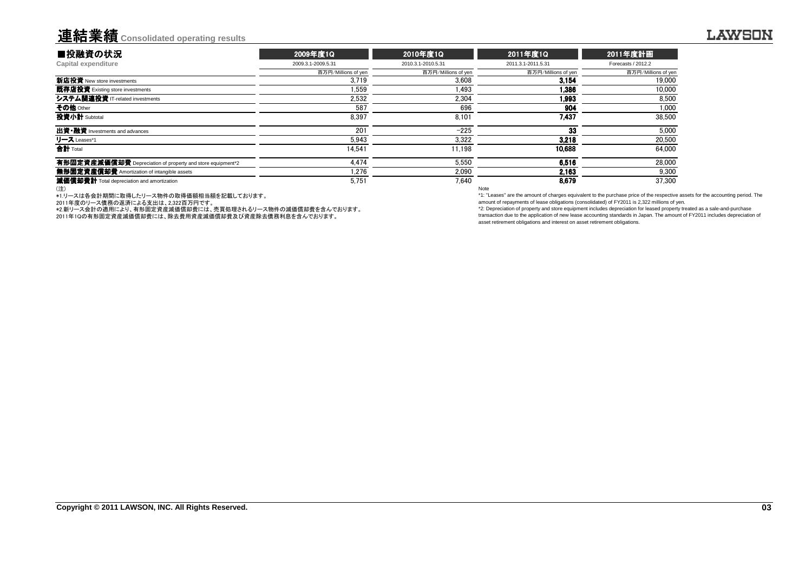### 連結業績**Consolidated operating results**

| ■投融資の状況                                                    | 2009年度1Q            | 2010年度1Q            | 2011年度1Q            | 2011年度計画            |
|------------------------------------------------------------|---------------------|---------------------|---------------------|---------------------|
| Capital expenditure                                        | 2009.3.1-2009.5.31  | 2010.3.1-2010.5.31  | 2011.3.1-2011.5.31  | Forecasts / 2012.2  |
|                                                            | 百万円/Millions of yen | 百万円/Millions of yen | 百万円/Millions of yen | 百万円/Millions of yen |
| 新店投資 New store investments                                 | 3.719               | 3.608               | 3.154               | 19,000              |
| 既存店投資 Existing store investments                           | 1.559               | 1.493               | 1.386               | 10,000              |
| システム関連投資 IT-related investments                            | 2.532               | 2.304               | 1.993               | 8.500               |
| その他 Other                                                  | 587                 | 696                 | 904                 | 1,000               |
| 投資小計 Subtotal                                              | 8.397               | 8.101               | 7.437               | 38.500              |
| 出資•融資 Investments and advances                             | 201                 | $-225$              | 33                  | 5.000               |
| リース Leases*1                                               | 5.943               | 3.322               | 3.218               | 20,500              |
| 合計 Total                                                   | 14.541              | 11.198              | 10.688              | 64.000              |
| 有形固定資産減価償却費 Depreciation of property and store equipment*2 | 4.474               | 5.550               | 6.516               | 28.000              |
| 無形固定資産償却費 Amortization of intangible assets                | 1.276               | 2.090               | 2.163               | 9,300               |
| 減価償却費計 Total depreciation and amortization                 | 5.751               | 7.640               | 8.679               | 37.300              |
| (注)                                                        |                     |                     | Note                |                     |

(注)

\*1.リースは各会計期間に取得したリース物件の取得価額相当額を記載しております。

2011年度のリース債務の返済による支出は、2,322百万円です。

\*2.新リース会計の適用により、有形固定資産減価償却費には、売買処理されるリース物件の減価償却費を含んでおります。

2011年1Qの有形固定資産減価償却費には、除去費用資産減価償却費及び資産除去債務利息を含んでおります。

 \*1: "Leases" are the amount of charges equivalent to the purchase price of the respective assets for the accounting period. Theamount of repayments of lease obligations (consolidated) of FY2011 is 2,322 millions of yen.

 \*2: Depreciation of property and store equipment includes depreciation for leased property treated as a sale-and-purchase transaction due to the application of new lease accounting standards in Japan. The amount of FY2011 includes depreciation ofasset retirement obligations and interest on asset retirement obligations.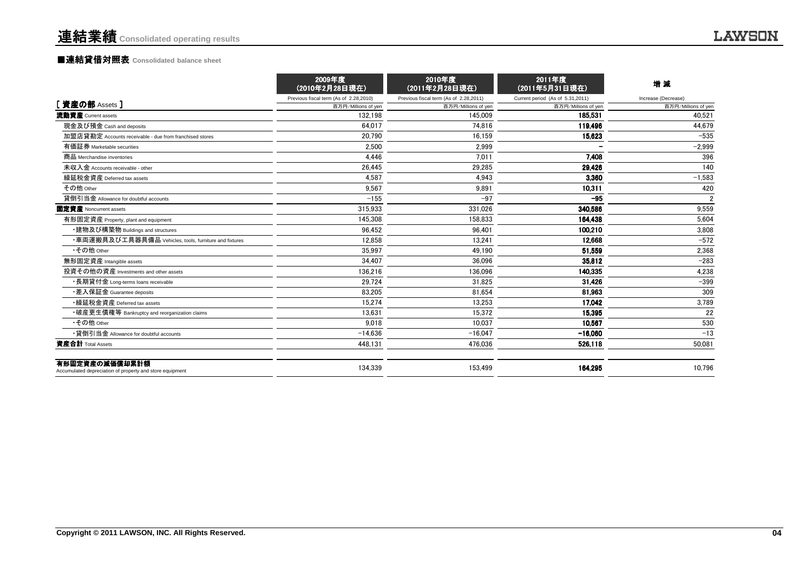|                                                                            | 2009年度<br>(2010年2月28日現在)               | 2010年度<br>(2011年2月28日現在)               | 2011年度<br>(2011年5月31日現在)         | 増減                  |
|----------------------------------------------------------------------------|----------------------------------------|----------------------------------------|----------------------------------|---------------------|
|                                                                            | Previous fiscal term (As of 2.28,2010) | Previous fiscal term (As of 2.28,2011) | Current period (As of 5.31,2011) | Increase (Decrease) |
| 「資産の部 Assets ]                                                             | 百万円/Millions of yen                    | 百万円/Millions of yen                    | 百万円/Millions of yen              | 百万円/Millions of yen |
| 流動資産 Current assets                                                        | 132.198                                | 145.009                                | 185.531                          | 40.521              |
| 現金及び預金 Cash and deposits                                                   | 64.017                                 | 74.816                                 | 119.496                          | 44,679              |
| 加盟店貸勘定 Accounts receivable - due from franchised stores                    | 20.790                                 | 16,159                                 | 15,623                           | $-535$              |
| 有価証券 Marketable securities                                                 | 2.500                                  | 2,999                                  |                                  | $-2,999$            |
| 商品 Merchandise inventories                                                 | 4.446                                  | 7.011                                  | 7,408                            | 396                 |
| 未収入金 Accounts receivable - other                                           | 26.445                                 | 29,285                                 | 29,426                           | 140                 |
| 繰延税金資産 Deferred tax assets                                                 | 4.587                                  | 4,943                                  | 3,360                            | $-1,583$            |
| その他 Other                                                                  | 9.567                                  | 9.891                                  | 10,311                           | 420                 |
| 貸倒引当金 Allowance for doubtful accounts                                      | $-155$                                 | $-97$                                  | $-95$                            | $\overline{2}$      |
| 固定資産 Noncurrent assets                                                     | 315.933                                | 331,026                                | 340,586                          | 9,559               |
| 有形固定資産 Property, plant and equipment                                       | 145,308                                | 158,833                                | 164.438                          | 5,604               |
| ・建物及び構築物 Buildings and structures                                          | 96,452                                 | 96,401                                 | 100.210                          | 3,808               |
| ・車両運搬具及び工具器具備品 Vehicles, tools, furniture and fixtures                     | 12.858                                 | 13,241                                 | 12,668                           | $-572$              |
| •その他 Other                                                                 | 35.997                                 | 49.190                                 | 51,559                           | 2.368               |
| 無形固定資産 Intangible assets                                                   | 34.407                                 | 36.096                                 | 35.812                           | $-283$              |
| 投資その他の資産 Investments and other assets                                      | 136,216                                | 136.096                                | 140.335                          | 4,238               |
| ・長期貸付金 Long-terms loans receivable                                         | 29.724                                 | 31.825                                 | 31.426                           | $-399$              |
| ・差入保証金 Guarantee deposits                                                  | 83.205                                 | 81.654                                 | 81.963                           | 309                 |
| •繰延税金資産 Deferred tax assets                                                | 15.274                                 | 13.253                                 | 17.042                           | 3,789               |
| •破産更生債権等 Bankruptcy and reorganization claims                              | 13.631                                 | 15,372                                 | 15.395                           | 22                  |
| •その他 Other                                                                 | 9.018                                  | 10.037                                 | 10.567                           | 530                 |
| •貸倒引当金 Allowance for doubtful accounts                                     | $-14,636$                              | $-16,047$                              | $-16.060$                        | $-13$               |
| 資産合計 Total Assets                                                          | 448.131                                | 476.036                                | 526,118                          | 50.081              |
| 有形固定資産の減価償却累計額<br>Accumulated depreciation of property and store equipment | 134.339                                | 153.499                                | 164.295                          | 10.796              |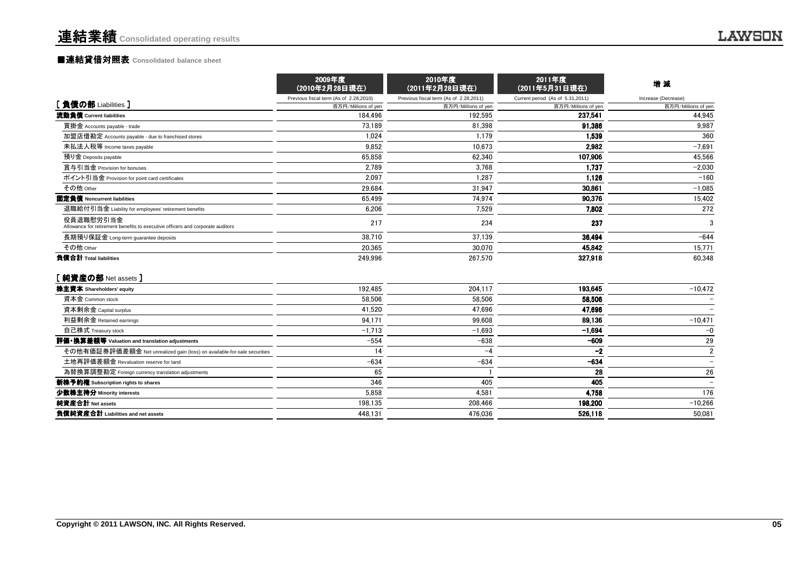|                                                                                             | 2009年度<br>(2010年2月28日現在)               | 2010年度<br>(2011年2月28日現在)               | 2011年度<br>(2011年5月31日現在)         | 增減                       |
|---------------------------------------------------------------------------------------------|----------------------------------------|----------------------------------------|----------------------------------|--------------------------|
|                                                                                             | Previous fiscal term (As of 2.28,2010) | Previous fiscal term (As of 2.28,2011) | Current period (As of 5.31,2011) | Increase (Decrease)      |
| [負債の部 Liabilities]                                                                          | 百万円/Millions of yen                    | 百万円/Millions of yen                    | 百万円/Millions of yen              | 百万円/Millions of yen      |
| 流動負債 Current liabilities                                                                    | 184.496                                | 192.595                                | 237.541                          | 44,945                   |
| 買掛金 Accounts payable - trade                                                                | 73.189                                 | 81.398                                 | 91.386                           | 9.987                    |
| 加盟店借勘定 Accounts payable - due to franchised stores                                          | 1.024                                  | 1.179                                  | 1.539                            | 360                      |
| 未払法人税等 Income taxes payable                                                                 | 9.852                                  | 10,673                                 | 2,982                            | $-7,691$                 |
| 預り金 Deposits payable                                                                        | 65.858                                 | 62,340                                 | 107,906                          | 45,566                   |
| 賞与引当金 Provision for bonuses                                                                 | 2.789                                  | 3.768                                  | 1.737                            | $-2,030$                 |
| ポイント引当金 Provision for point card certificates                                               | 2.097                                  | 1,287                                  | 1.126                            | $-160$                   |
| その他 Other                                                                                   | 29,684                                 | 31,947                                 | 30,861                           | $-1,085$                 |
| 固定負債 Noncurrent liabilities                                                                 | 65.499                                 | 74.974                                 | 90.376                           | 15,402                   |
| 退職給付引当金 Liability for employees' retirement benefits                                        | 6,206                                  | 7,529                                  | 7.802                            | 272                      |
| 役員退職慰労引当金<br>Allowance for retirement benefits to executive officers and corporate auditors | 217                                    | 234                                    | 237                              | 3                        |
| 長期預り保証金 Long-term guarantee deposits                                                        | 38.710                                 | 37,139                                 | 36.494                           | $-644$                   |
| その他 Other                                                                                   | 20.365                                 | 30,070                                 | 45,842                           | 15,771                   |
| 負債合計 Total liabilities                                                                      | 249.996                                | 267,570                                | 327,918                          | 60.348                   |
| [純資産の部 Net assets]                                                                          |                                        |                                        |                                  |                          |
| 株主資本 Shareholders' equity                                                                   | 192.485                                | 204.117                                | 193.645                          | $-10,472$                |
| 資本金 Common stock                                                                            | 58.506                                 | 58,506                                 | 58,506                           |                          |
| 資本剰余金 Capital surplus                                                                       | 41.520                                 | 47.696                                 | 47.696                           |                          |
| 利益剰余金 Retained earnings                                                                     | 94,171                                 | 99.608                                 | 89,136                           | $-10,471$                |
| 自己株式 Treasury stock                                                                         | $-1,713$                               | $-1,693$                               | $-1,694$                         | $-0$                     |
| 評価・換算差額等 Valuation and translation adjustments                                              | $-554$                                 | $-638$                                 | $-609$                           | 29                       |
| その他有価証券評価差額金 Net unrealized gain (loss) on available-for-sale securities                    | 14                                     | -4                                     | $-2$                             | $\overline{2}$           |
| 土地再評価差額金 Revaluation reserve for land                                                       | $-634$                                 | $-634$                                 | $-634$                           | $\overline{\phantom{0}}$ |
| 為替換算調整勘定 Foreign currency translation adjustments                                           | 65                                     |                                        | 28                               | 26                       |
| 新株予約権 Subscription rights to shares                                                         | 346                                    | 405                                    | 405                              |                          |
| 少数株主持分 Minority interests                                                                   | 5.858                                  | 4,581                                  | 4.758                            | 176                      |
| 純資産合計 Net assets                                                                            | 198.135                                | 208.466                                | 198,200                          | $-10,266$                |
| 負債純資産合計 Liabilities and net assets                                                          | 448.131                                | 476.036                                | 526.118                          | 50.081                   |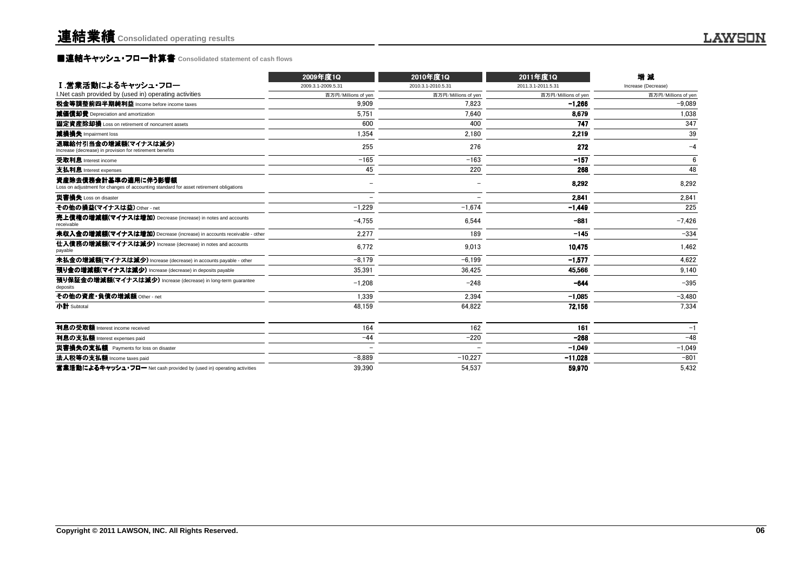### **■連結キャッシュ・フロー計算書** Consolidated statement of cash flows

|                                                                                                               | 2009年度1Q                 | 2010年度1Q            | 2011年度1Q            | 增減                  |
|---------------------------------------------------------------------------------------------------------------|--------------------------|---------------------|---------------------|---------------------|
| Ⅰ.営業活動によるキャッシュ・フロー                                                                                            | 2009.3.1-2009.5.31       | 2010.3.1-2010.5.31  | 2011.3.1-2011.5.31  | Increase (Decrease) |
| I. Net cash provided by (used in) operating activities                                                        | 百万円/Millions of yen      | 百万円/Millions of yen | 百万円/Millions of yen | 百万円/Millions of yen |
| 税金等調整前四半期純利益 Income before income taxes                                                                       | 9.909                    | 7.823               | $-1,266$            | $-9.089$            |
| 減価償却費 Depreciation and amortization                                                                           | 5.751                    | 7.640               | 8.679               | 1.038               |
| 固定資産除却損 Loss on retirement of noncurrent assets                                                               | 600                      | 400                 | 747                 | 347                 |
| 減損損失 Impairment loss                                                                                          | 1.354                    | 2,180               | 2,219               | 39                  |
| 退職給付引当金の増減額(マイナスは減少)<br>Increase (decrease) in provision for retirement benefits                              | 255                      | 276                 | 272                 | $-4$                |
| 受取利息 Interest income                                                                                          | $-165$                   | $-163$              | $-157$              | 6                   |
| 支払利息 Interest expenses                                                                                        | 45                       | 220                 | 268                 | 48                  |
| 資産除去債務会計基準の適用に伴う影響額<br>Loss on adjustment for changes of accounting standard for asset retirement obligations |                          |                     | 8.292               | 8,292               |
| 災害損失 Loss on disaster                                                                                         | $\overline{\phantom{a}}$ |                     | 2.841               | 2,841               |
| その他の撮益(マイナスは益) Other - net                                                                                    | $-1.229$                 | $-1.674$            | $-1,449$            | 225                 |
| 売上債権の増減額(マイナスは増加) Decrease (increase) in notes and accounts<br>receivable                                     | $-4,755$                 | 6,544               | $-881$              | $-7,426$            |
| 未収入金の増減額(マイナスは増加) Decrease (increase) in accounts receivable - other                                          | 2.277                    | 189                 | $-145$              | $-334$              |
| 仕入債務の増減額(マイナスは減少) Increase (decrease) in notes and accounts<br>payable                                        | 6.772                    | 9.013               | 10.475              | 1.462               |
| 未払金の増減額(マイナスは減少) Increase (decrease) in accounts payable - other                                              | $-8.179$                 | $-6.199$            | $-1,577$            | 4,622               |
| 預り金の増減額(マイナスは減少) Increase (decrease) in deposits payable                                                      | 35.391                   | 36.425              | 45.566              | 9.140               |
| 預り保証金の増減額(マイナスは減少) Increase (decrease) in long-term guarantee<br>deposits                                     | $-1.208$                 | $-248$              | $-644$              | $-395$              |
| その他の資産·負債の増減額 Other - net                                                                                     | 1.339                    | 2.394               | $-1.085$            | $-3,480$            |
| 小計 Subtotal                                                                                                   | 48,159                   | 64,822              | 72,156              | 7,334               |
| 利息の受取額 Interest income received                                                                               | 164                      | 162                 | 161                 | $-1$                |
| 利息の支払額 Interest expenses paid                                                                                 | $-44$                    | $-220$              | $-268$              | $-48$               |
| 災害損失の支払額 Payments for loss on disaster                                                                        |                          |                     | $-1.049$            | $-1,049$            |
| 法人税等の支払額 Income taxes paid                                                                                    | $-8.889$                 | $-10,227$           | $-11,028$           | $-801$              |
| 営業活動によるキャッシュ・フロー Net cash provided by (used in) operating activities                                          | 39.390                   | 54,537              | 59.970              | 5.432               |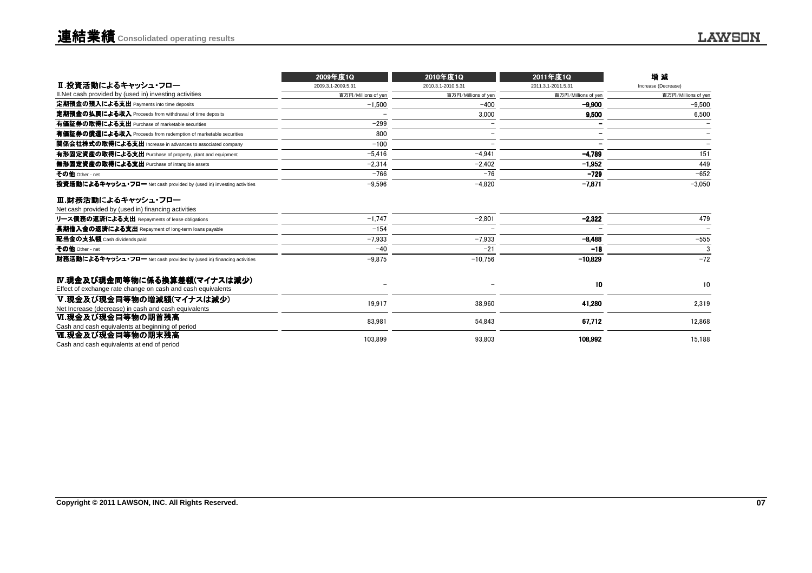|                                                                      | 2009年度1Q            | 2010年度1Q            | 2011年度1Q            | 增減                  |
|----------------------------------------------------------------------|---------------------|---------------------|---------------------|---------------------|
| Ⅱ.投資活動によるキャッシュ・フロー                                                   | 2009.3.1-2009.5.31  | 2010.3.1-2010.5.31  | 2011.3.1-2011.5.31  | Increase (Decrease) |
| II. Net cash provided by (used in) investing activities              | 百万円/Millions of yen | 百万円/Millions of yen | 百万円/Millions of yen | 百万円/Millions of yen |
| 定期預金の預入による支出 Payments into time deposits                             | $-1.500$            | $-400$              | $-9.900$            | $-9.500$            |
| 定期預金の払戻による収入 Proceeds from withdrawal of time deposits               |                     | 3.000               | 9.500               | 6,500               |
| 有価証券の取得による支出 Purchase of marketable securities                       | $-299$              |                     | -                   |                     |
| 有価証券の償還による収入 Proceeds from redemption of marketable securities       | 800                 |                     | -                   |                     |
| 関係会社株式の取得による支出 Increase in advances to associated company            | $-100$              |                     |                     |                     |
| 有形固定資産の取得による支出 Purchase of property, plant and equipment             | $-5.416$            | $-4.941$            | $-4.789$            | 151                 |
| 無形固定資産の取得による支出 Purchase of intangible assets                         | $-2,314$            | $-2,402$            | $-1,952$            | 449                 |
| その他 Other - net                                                      | $-766$              | $-76$               | $-729$              | $-652$              |
| 投資活動によるキャッシュ・フロー Net cash provided by (used in) investing activities | $-9.596$            | $-4.820$            | $-7,871$            | $-3.050$            |
| Ⅲ.財務活動によるキャッシュ・フロー                                                   |                     |                     |                     |                     |
| Net cash provided by (used in) financing activities                  |                     |                     |                     |                     |
| リース債務の返済による支出 Repayments of lease obligations                        | $-1.747$            | $-2,801$            | $-2,322$            | 479                 |
| 長期借入金の返済による支出 Repayment of long-term loans payable                   | $-154$              |                     |                     |                     |
| 配当金の支払額 Cash dividends paid                                          | $-7,933$            | $-7,933$            | $-8.488$            | $-555$              |
| その他 Other - net                                                      | $-40$               | $-21$               | $-18$               | 3                   |
| 財務活動によるキャッシュ・フロー Net cash provided by (used in) financing activities | $-9.875$            | $-10.756$           | $-10.829$           | $-72$               |
| Ⅳ.現金及び現金同等物に係る換算差額(マイナスは減少)                                          |                     |                     |                     |                     |
| Effect of exchange rate change on cash and cash equivalents          |                     |                     | 10                  | 10                  |
| Ⅴ.現金及び現金同等物の増減額(マイナスは減少)                                             | 19.917              | 38.960              |                     |                     |
| Net Increase (decrease) in cash and cash equivalents                 |                     |                     | 41,280              | 2,319               |
| Ⅵ.現金及び現金同等物の期首残高                                                     | 83,981              | 54.843              | 67,712              | 12,868              |
| Cash and cash equivalents at beginning of period                     |                     |                     |                     |                     |
| Ⅵ.現金及び現金同等物の期末残高                                                     | 103.899             | 93.803              | 108.992             | 15,188              |
| Cash and cash equivalents at end of period                           |                     |                     |                     |                     |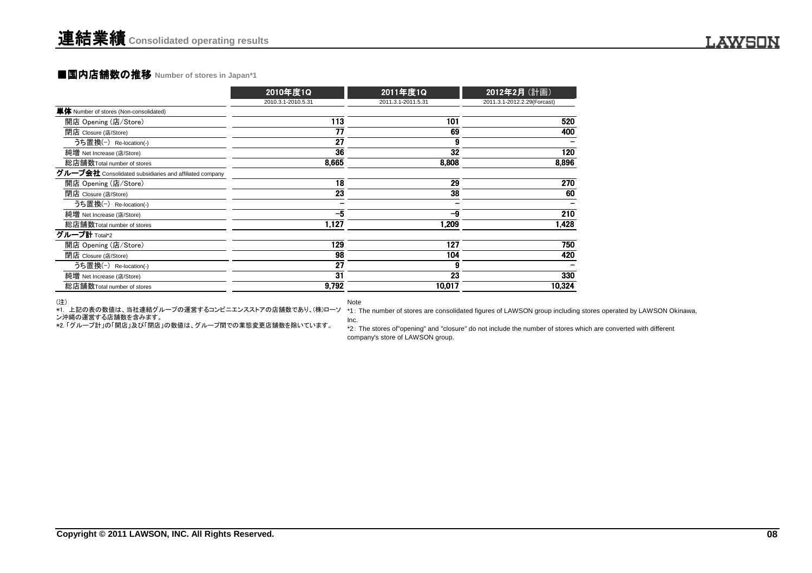#### ■国内店舗数の推移 Number of stores in Japan\*1

|                                                         | 2010年度1Q           | 2011年度1Q           | 2012年2月 (計画)                |
|---------------------------------------------------------|--------------------|--------------------|-----------------------------|
|                                                         | 2010.3.1-2010.5.31 | 2011.3.1-2011.5.31 | 2011.3.1-2012.2.29(Forcast) |
| 単体 Number of stores (Non-consolidated)                  |                    |                    |                             |
| 開店 Opening (店/Store)                                    | 113                | 101                | 520                         |
| 閉店 Closure (店/Store)                                    | 77                 | 69                 | 400                         |
| うち置換(-) Re-location(-)                                  | 27                 |                    |                             |
| 純増 Net Increase (店/Store)                               | 36                 | 32                 | 120                         |
| 総店舗数Total number of stores                              | 8.665              | 8.808              | 8,896                       |
| グループ会社 Consolidated subsidiaries and affiliated company |                    |                    |                             |
| 開店 Opening (店/Store)                                    | 18                 | 29                 | 270                         |
| 閉店 Closure (店/Store)                                    | 23                 | 38                 | 60                          |
| うち置換(-) Re-location(-)                                  |                    |                    |                             |
| 純増 Net Increase (店/Store)                               | $-5$               | -9                 | 210                         |
| 総店舗数Total number of stores                              | 1,127              | 1,209              | 1,428                       |
| グループ計 Total*2                                           |                    |                    |                             |
| 開店 Opening (店/Store)                                    | 129                | 127                | 750                         |
| 閉店 Closure (店/Store)                                    | 98                 | 104                | 420                         |
| うち置換(-) Re-location(-)                                  | 27                 | 9                  |                             |
| 純増 Net Increase (店/Store)                               | 31                 | 23                 | 330                         |
| 総店舗数Total number of stores                              | 9,792              | 10.017             | 10,324                      |

#### (注)

Note

ン沖縄の運営する店舗数を含みます。<br>\*2. 「グループ計」の「開店」及び「閉店」の数値は、グループ間での業態変更店舗数を除いています。

\*1. 上記の表の数値は、当社連結グループの運営するコンビニエンスストアの店舗数であり、(株)ローソ \*1 : The number of stores are consolidated figures of LAWSON group including stores operated by LAWSON Okinawa, Inc.

> \*2: The stores of"opening" and "closure" do not include the number of stores which are converted with differentcompany's store of LAWSON group.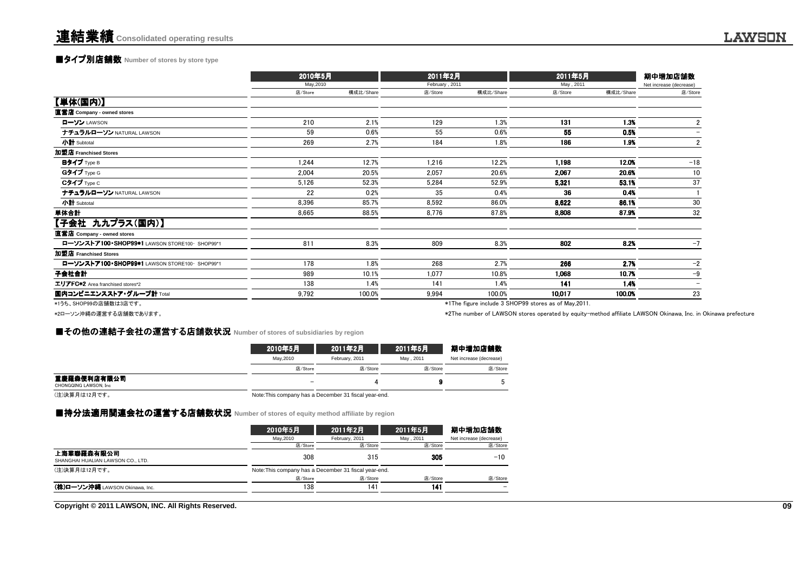### **■タイプ別店舗数** Number of stores by store type

|                                               | 2010年5月   |           | 2011年2月        |           | 2011年5月   |           | 期中増加店舗数                  |  |
|-----------------------------------------------|-----------|-----------|----------------|-----------|-----------|-----------|--------------------------|--|
|                                               | May, 2010 |           | February, 2011 |           | May, 2011 |           | Net increase (decrease)  |  |
|                                               | 店/Store   | 構成比/Share | 店/Store        | 構成比/Share | 店/Store   | 構成比/Share | 店/Store                  |  |
| 【単体(国内)】                                      |           |           |                |           |           |           |                          |  |
| 直営店 Company - owned stores                    |           |           |                |           |           |           |                          |  |
| ローソン LAWSON                                   | 210       | 2.1%      | 129            | 1.3%      | 131       | 1.3%      | 2                        |  |
| ナチュラルローソン NATURAL LAWSON                      | 59        | 0.6%      | 55             | 0.6%      | 55        | 0.5%      |                          |  |
| 小計 Subtotal                                   | 269       | 2.7%      | 184            | 1.8%      | 186       | 1.9%      | $\overline{2}$           |  |
| 加盟店 Franchised Stores                         |           |           |                |           |           |           |                          |  |
| Bタイプ Type B                                   | 1,244     | 12.7%     | 1,216          | 12.2%     | 1,198     | 12.0%     | $-18$                    |  |
| Gタイプ Type G                                   | 2,004     | 20.5%     | 2,057          | 20.6%     | 2,067     | 20.6%     | 10                       |  |
| Cタイプ Type C                                   | 5,126     | 52.3%     | 5,284          | 52.9%     | 5,321     | 53.1%     | 37                       |  |
| ナチュラルローソン NATURAL LAWSON                      | 22        | 0.2%      | 35             | 0.4%      | 36        | 0.4%      |                          |  |
| 小計 Subtotal                                   | 8,396     | 85.7%     | 8.592          | 86.0%     | 8,622     | 86.1%     | 30                       |  |
| 単体合計                                          | 8,665     | 88.5%     | 8,776          | 87.8%     | 8,808     | 87.9%     | 32                       |  |
| 【子会社 九九プラス(国内)】                               |           |           |                |           |           |           |                          |  |
| 直営店 Company - owned stores                    |           |           |                |           |           |           |                          |  |
| ローソンストア100·SHOP99*1 LAWSON STORE100· SHOP99*1 | 811       | 8.3%      | 809            | 8.3%      | 802       | 8.2%      | $-7$                     |  |
| 加盟店 Franchised Stores                         |           |           |                |           |           |           |                          |  |
| ローソンストア100·SHOP99*1 LAWSON STORE100· SHOP99*1 | 178       | 1.8%      | 268            | 2.7%      | 266       | 2.7%      | $-2$                     |  |
| 子会社合計                                         | 989       | 10.1%     | 1,077          | 10.8%     | 1,068     | 10.7%     | $-9$                     |  |
| エリアFC*2 Area franchised stores*2              | 138       | 1.4%      | 141            | 1.4%      | 141       | 1.4%      | $\overline{\phantom{0}}$ |  |
| 国内コンビニエンスストア・グループ計 Total                      | 9,792     | 100.0%    | 9,994          | 100.0%    | 10,017    | 100.0%    | 23                       |  |
|                                               |           |           |                |           |           |           |                          |  |

\*1うち、SHOP99の店舗数は3店です。

\*2ローソン沖縄の運営する店舗数であります。

\*1The figure include 3 SHOP99 stores as of May,2011.

\*2The number of LAWSON stores operated by equity-method affiliate LAWSON Okinawa, Inc. in Okinawa prefecture.

### **■その他の連結子会社の運営する店舗数状況** Number of stores of subsidiaries by region<br>→

|                                       | 2010年5月                  | 2011年2月                                               | 2011年5月    | 期中増加店舗数                 |  |  |
|---------------------------------------|--------------------------|-------------------------------------------------------|------------|-------------------------|--|--|
|                                       | May.2010                 | February, 2011                                        | May . 2011 | Net increase (decrease) |  |  |
|                                       | 店/Store                  | 店/Store                                               | 店/Store    | 店/Store                 |  |  |
| 重慶羅森便利店有限公司<br>CHONGQING LAWSON, Inc. | $\overline{\phantom{a}}$ |                                                       |            |                         |  |  |
| (注)決算月は12月です。                         |                          | Note: This company has a December 31 fiscal year-end. |            |                         |  |  |

### ■持分法適用関連会社の運営する店舗数状況 Number of stores of equity method affiliate by region<br>→

|                                                 | 2010年5月                                               | 2011年2月        | 2011年5月    | 期中増加店舗数                 |
|-------------------------------------------------|-------------------------------------------------------|----------------|------------|-------------------------|
|                                                 | May, 2010                                             | February, 2011 | May . 2011 | Net increase (decrease) |
|                                                 | 店/Store                                               | 店/Store        | 店/Store    | 店/Store                 |
| 上海華聯羅森有限公司<br>SHANGHAI HUALIAN LAWSON CO., LTD. | 308                                                   | 315            | 305        | $-10$                   |
| (注)決算月は12月です。                                   | Note: This company has a December 31 fiscal year-end. |                |            |                         |
|                                                 | 店/Store                                               | 店/Store        | 店/Store    | 店/Store                 |
| (株)ローソン沖縄 LAWSON Okinawa, Inc.                  | 138                                                   | 141            | 141        |                         |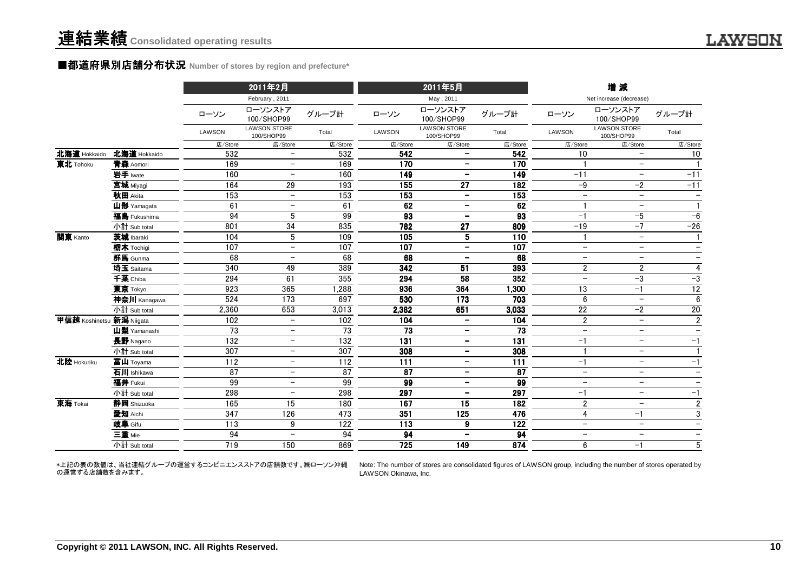#### ■都道府県別店舗分布状況 Number of stores by region and prefecture\*

|                           |              |                 | 2011年2月                           |                 |                 | 2011年5月                           |                  |                          | 増減                                |                          |
|---------------------------|--------------|-----------------|-----------------------------------|-----------------|-----------------|-----------------------------------|------------------|--------------------------|-----------------------------------|--------------------------|
|                           |              |                 | February, 2011                    |                 |                 | May, 2011                         |                  |                          | Net increase (decrease)           |                          |
|                           |              | ローソン            | ローソンストア<br>100/SHOP99             | グループ計           | ローソン            | ローソンストア<br>100/SHOP99             | グループ計            | ローソン                     | ローソンストア<br>100/SHOP99             | グループ計                    |
|                           |              | <b>LAWSON</b>   | <b>LAWSON STORE</b><br>100/SHOP99 | Total           | LAWSON          | <b>LAWSON STORE</b><br>100/SHOP99 | Total            | LAWSON                   | <b>LAWSON STORE</b><br>100/SHOP99 | Total                    |
|                           |              | 店/Store         | 店/Store                           | 店/Store         | 店/Store         | 店/Store                           | 店/Store          | 店/Store                  | 店/Store                           | 店/Store                  |
| 北海道 Hokkaido              | 北海道 Hokkaido | 532             | $\overline{\phantom{0}}$          | 532             | 542             | $\overline{\phantom{0}}$          | 542              | 10                       | $-$                               | 10                       |
| 東北 Tohoku                 | 青森 Aomori    | 169             | $\overline{\phantom{m}}$          | 169             | 170             | $\overline{\phantom{a}}$          | 170              |                          | $\overline{\phantom{0}}$          |                          |
|                           | 岩手 Iwate     | 160             | $\overline{\phantom{a}}$          | 160             | 149             | $\qquad \qquad$                   | 149              | $-11$                    |                                   | $-11$                    |
|                           | 宮城 Miyagi    | 164             | 29                                | 193             | 155             | 27                                | 182              | $-9$                     | $-2$                              | $-11$                    |
|                           | 秋田 Akita     | 153             | $\overline{\phantom{a}}$          | 153             | 153             | $\overline{\phantom{a}}$          | 153              | $\overline{\phantom{m}}$ | $\overline{\phantom{0}}$          | $\overline{\phantom{m}}$ |
|                           | 山形 Yamagata  | 61              | $\overline{\phantom{a}}$          | 61              | 62              | $\qquad \qquad -$                 | 62               |                          | $\overline{\phantom{m}}$          | $\mathbf{1}$             |
|                           | 福島 Fukushima | 94              | 5                                 | 99              | $\overline{93}$ |                                   | $\overline{93}$  | $-1$                     | $-5$                              | $-6$                     |
|                           | 小計 Sub total | 801             | 34                                | 835             | 782             | 27                                | 809              | $-19$                    | $-7$                              | $-26$                    |
| 関東 Kanto                  | 茨城 Ibaraki   | 104             | 5                                 | 109             | 105             | 5                                 | 110              |                          | $\overline{\phantom{m}}$          | $\mathbf{1}$             |
|                           | 栃木 Tochigi   | 107             | $\qquad \qquad -$                 | 107             | 107             | $\overline{\phantom{a}}$          | 107              | $\overline{\phantom{m}}$ | $\overline{\phantom{a}}$          | $\overline{\phantom{a}}$ |
|                           | 群馬 Gunma     | 68              | $\overline{\phantom{a}}$          | 68              | 68              | $\overline{\phantom{m}}$          | 68               | $\overline{\phantom{m}}$ | $\overline{\phantom{m}}$          | $\overline{\phantom{m}}$ |
|                           | 埼玉 Saitama   | 340             | 49                                | 389             | 342             | 51                                | 393              | $\overline{2}$           | $\overline{2}$                    | $\overline{\mathbf{4}}$  |
|                           | 千葉 Chiba     | 294             | 61                                | 355             | 294             | 58                                | 352              | $\overline{\phantom{m}}$ | $-3$                              | $-3$                     |
|                           | 東京 Tokyo     | 923             | 365                               | 1,288           | 936             | 364                               | 1,300            | 13                       | $-1$                              | $\overline{12}$          |
|                           | 神奈川 Kanagawa | 524             | 173                               | 697             | 530             | 173                               | 703              | 6                        | $\overline{\phantom{0}}$          | 6                        |
|                           | 小計 Sub total | 2.360           | 653                               | 3,013           | 2,382           | 651                               | 3,033            | 22                       | $-2$                              | 20                       |
| 甲信越 Koshinetsu 新潟 Niigata |              | 102             | $\overline{\phantom{a}}$          | 102             | 104             | $\qquad \qquad -$                 | 104              | $\overline{2}$           | $\equiv$                          | $\overline{2}$           |
|                           | 山梨 Yamanashi | 73              | $\overline{\phantom{0}}$          | 73              | 73              | $\overline{\phantom{a}}$          | 73               | $\qquad \qquad -$        | $\overline{\phantom{0}}$          |                          |
|                           | 長野 Nagano    | $\frac{1}{132}$ | $\overline{\phantom{m}}$          | 132             | 131             | $\overline{\phantom{m}}$          | 131              | $-1$                     | $\overline{\phantom{m}}$          | $-1$                     |
|                           | 小計 Sub total | 307             | $\overline{\phantom{m}}$          | 307             | 308             | $\overline{\phantom{m}}$          | 308              |                          | $-$                               |                          |
| 北陸 Hokuriku               | 富山 Toyama    | 112             | $\overline{\phantom{m}}$          | $\frac{1}{112}$ | 111             | $\qquad \qquad -$                 | $\overline{111}$ | $-1$                     | $\overline{\phantom{0}}$          | $-1$                     |
|                           | 石川 Ishikawa  | 87              | $\overline{\phantom{m}}$          | 87              | 87              | $\overline{\phantom{m}}$          | 87               | $\overline{\phantom{m}}$ | $\overline{\phantom{m}}$          |                          |
|                           | 福井 Fukui     | 99              | $\overline{\phantom{0}}$          | 99              | 99              | $\overline{\phantom{a}}$          | 99               | $\overline{\phantom{a}}$ | $\overline{\phantom{m}}$          |                          |
|                           | 小計 Sub total | 298             | $\overline{\phantom{m}}$          | 298             | 297             | $\overline{\phantom{a}}$          | 297              | $-1$                     | $\overline{\phantom{m}}$          | $-1$                     |
| 東海 Tokai                  | 静岡 Shizuoka  | 165             | 15                                | 180             | 167             | 15                                | 182              | $\overline{2}$           | $\overline{\phantom{m}}$          | $\overline{2}$           |
|                           | 愛知 Aichi     | 347             | 126                               | 473             | 351             | 125                               | 476              | 4                        | $-1$                              | $\sqrt{3}$               |
|                           | 岐阜 Gifu      | 113             | 9                                 | 122             | 113             | 9                                 | 122              | $\overline{\phantom{m}}$ | $\overline{\phantom{m}}$          | $\overline{\phantom{0}}$ |
|                           | 三重 Mie       | 94              | $\overline{\phantom{0}}$          | 94              | 94              | $\overline{\phantom{a}}$          | 94               | $\overline{\phantom{m}}$ | $\overline{\phantom{m}}$          | $\overline{\phantom{m}}$ |
|                           | 小計 Sub total | 719             | 150                               | 869             | 725             | 149                               | 874              | 6                        | $-1$                              | 5                        |

\*上記の表の数値は、当社連結グループの運営するコンビニエンスストアの店舗数です。㈱ローソン沖縄の運営する店舗数を含みます。

Note: The number of stores are consolidated figures of LAWSON group, including the number of stores operated byLAWSON Okinawa, Inc.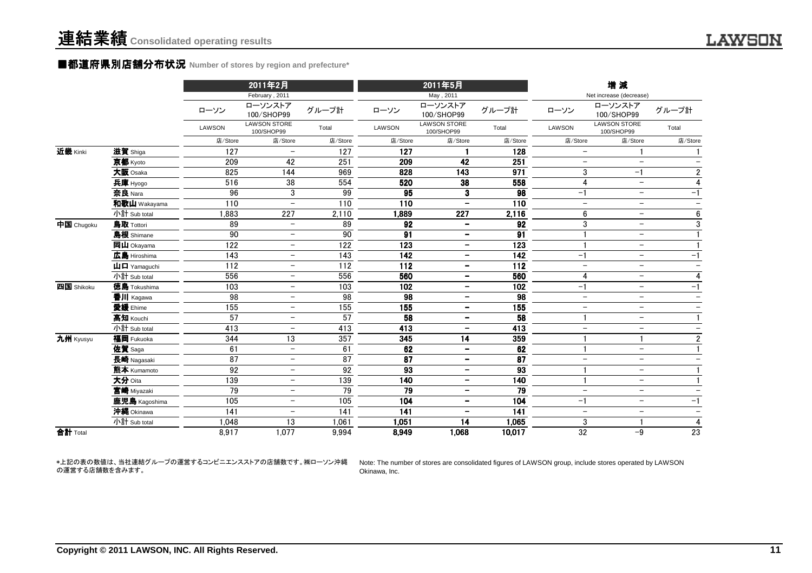#### ■都道府県別店舗分布状況 **Number of stores by region and prefecture\***

|            |                                                           |                 | 2011年2月<br>February, 2011         |                 |         | 2011年5月<br>May, 2011              |                 |                          | 増減<br>Net increase (decrease)     |                          |
|------------|-----------------------------------------------------------|-----------------|-----------------------------------|-----------------|---------|-----------------------------------|-----------------|--------------------------|-----------------------------------|--------------------------|
|            |                                                           | ローソン            | ローソンストア<br>100/SHOP99             | グループ計           | ローソン    | ローソンストア<br>100/SHOP99             | グループ計           | ローソン                     | ローソンストア<br>100/SHOP99             | グループ計                    |
|            |                                                           | <b>LAWSON</b>   | <b>LAWSON STORE</b><br>100/SHOP99 | Total           | LAWSON  | <b>LAWSON STORE</b><br>100/SHOP99 | Total           | LAWSON                   | <b>LAWSON STORE</b><br>100/SHOP99 | Total                    |
|            |                                                           | 店/Store         | 店/Store                           | 店/Store         | 店/Store | 店/Store                           | 店/Store         | 店/Store                  | 店/Store                           | 店/Store                  |
| 近畿 Kinki   | 滋賀 Shiga                                                  | 127             |                                   | 127             | 127     |                                   | 128             | $\overline{\phantom{m}}$ |                                   | $\mathbf{1}$             |
|            | 京都 Kyoto                                                  | 209             | 42                                | 251             | 209     | 42                                | 251             | $\overline{\phantom{m}}$ | $\overline{\phantom{m}}$          | $\overline{\phantom{m}}$ |
|            | 大阪 Osaka                                                  | 825             | 144                               | 969             | 828     | 143                               | 971             | 3                        | $-1$                              | $\overline{2}$           |
|            | 兵庫 Hyogo                                                  | 516             | 38                                | 554             | 520     | 38                                | 558             | 4                        | $\overline{\phantom{0}}$          | $\overline{4}$           |
|            | 奈良 Nara                                                   | 96              | 3                                 | 99              | 95      | 3                                 | 98              | $-1$                     | $\overline{\phantom{0}}$          | $-1$                     |
|            | 和歌山 Wakayama                                              | 110             | $\qquad \qquad -$                 | 110             | 110     | $\qquad \qquad -$                 | 110             | $\overline{\phantom{a}}$ | $-$                               | $\overline{\phantom{0}}$ |
|            | 小計 Sub total                                              | ,883            | 227                               | 2,110           | 1,889   | 227                               | 2,116           | $6\phantom{1}$           | $\overline{\phantom{m}}$          | $\boldsymbol{6}$         |
| 中国 Chugoku | 鳥取 Tottori                                                | 89              | $\overline{\phantom{a}}$          | 89              | 92      | $\overline{\phantom{a}}$          | 92              | $\mathfrak{3}$           | $\overline{\phantom{m}}$          | $\sqrt{3}$               |
|            | 島根 Shimane                                                | 90              | $\overline{\phantom{0}}$          | 90              | 91      | $\qquad \qquad -$                 | 91              |                          | $\overline{\phantom{m}}$          | $\mathbf{1}$             |
|            | 岡山 Okayama                                                | 122             | $\qquad \qquad -$                 | 122             | 123     | $\qquad \qquad -$                 | 123             |                          | $\overline{\phantom{m}}$          |                          |
|            | 広島 Hiroshima                                              | 143             | $\qquad \qquad -$                 | 143             | 142     | $\overline{\phantom{a}}$          | 142             | $-1$                     | $\overline{\phantom{m}}$          | $-1$                     |
|            | $\mathbf{\mathbf{\mu}}$ $\mathbf{\mathbf{\Pi}}$ Yamaguchi | 112             | $\overline{\phantom{0}}$          | 112             | 112     | $\overline{\phantom{a}}$          | 112             | $\overline{\phantom{m}}$ | $\overline{\phantom{0}}$          | $\overline{\phantom{0}}$ |
|            | 小計 Sub total                                              | 556             | $\qquad \qquad -$                 | 556             | 560     | $\overline{\phantom{m}}$          | 560             | $\overline{4}$           | $-$                               | $\overline{4}$           |
| 四国 Shikoku | 徳島 Tokushima                                              | 103             | $\overline{\phantom{0}}$          | 103             | 102     | $\overline{\phantom{a}}$          | 102             | $-1$                     | $\overline{\phantom{0}}$          | $-1$                     |
|            | 香川 Kagawa                                                 | 98              | $\overline{\phantom{0}}$          | 98              | 98      | $\qquad \qquad -$                 | 98              | $\overline{\phantom{m}}$ | $-$                               | $\overline{\phantom{m}}$ |
|            | 愛媛 Ehime                                                  | 155             | $\qquad \qquad -$                 | 155             | 155     | $\overline{\phantom{m}}$          | 155             | $\overline{\phantom{0}}$ | $-$                               | $\overline{\phantom{0}}$ |
|            | 高知 Kouchi                                                 | 57              |                                   | 57              | 58      | $\qquad \qquad \blacksquare$      | 58              |                          | $\overline{\phantom{m}}$          | $\mathbf{1}$             |
|            | 小計 Sub total                                              | 413             | $\qquad \qquad -$                 | 413             | 413     | $\overline{\phantom{m}}$          | 413             | $\overline{\phantom{m}}$ | $\overline{\phantom{m}}$          | $\overline{\phantom{m}}$ |
| 九州 Kyusyu  | 福岡 Fukuoka                                                | 344             | 13                                | 357             | 345     | 14                                | 359             |                          | $\mathbf{1}$                      | $\sqrt{2}$               |
|            | 佐賀 Saga                                                   | 61              | $\overline{\phantom{m}}$          | 61              | 62      | $\overline{\phantom{a}}$          | 62              |                          | $\overline{\phantom{0}}$          | $\mathbf{1}$             |
|            | 長崎 Nagasaki                                               | $\overline{87}$ | $\qquad \qquad -$                 | $\overline{87}$ | 87      | $\overline{\phantom{a}}$          | $\overline{87}$ | $\overline{\phantom{m}}$ | $-$                               | $\overline{\phantom{0}}$ |
|            | 熊本 Kumamoto                                               | 92              | $\overline{\phantom{0}}$          | 92              | 93      | $\qquad \qquad$                   | 93              |                          | $-$                               |                          |
|            | 大分 Oita                                                   | 139             | $\qquad \qquad -$                 | 139             | 140     | $\overline{\phantom{m}}$          | 140             |                          | $\overline{\phantom{m}}$          | $\mathbf{1}$             |
|            | 宮崎 Miyazaki                                               | 79              | $\qquad \qquad -$                 | 79              | 79      | $\overline{\phantom{a}}$          | 79              | $\overline{\phantom{m}}$ | $\overline{\phantom{m}}$          | $\overline{\phantom{m}}$ |
|            | 鹿児島 Kagoshima                                             | 105             |                                   | 105             | 104     | $\qquad \qquad -$                 | 104             | $-1$                     | $\overline{\phantom{m}}$          | $-1$                     |
|            | 沖縄 Okinawa                                                | 141             | $\overline{\phantom{0}}$          | 141             | 141     |                                   | 141             | $\overline{\phantom{m}}$ | $\overline{\phantom{m}}$          | $\overline{\phantom{m}}$ |
|            | 小計 Sub total                                              | 1,048           | 13                                | 1,061           | 1,051   | 14                                | 1,065           | $\sqrt{3}$               | $\mathbf{1}$                      | $\overline{4}$           |
| 合計 Total   |                                                           | 8,917           | 1,077                             | 9,994           | 8,949   | 1,068                             | 10,017          | $\overline{32}$          | $-9$                              | 23                       |

\*上記の表の数値は、当社連結グループの運営するコンビニエンスストアの店舗数です。㈱ローソン沖縄の運営する店舗数を含みます。

Note: The number of stores are consolidated figures of LAWSON group, include stores operated by LAWSONOkinawa, Inc.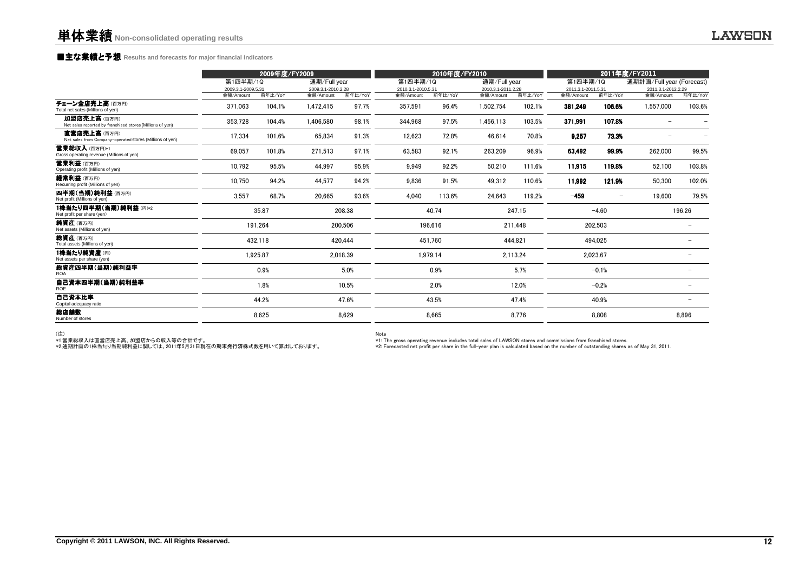### **■主な業績と予想** Results and forecasts for major financial indicators<br>
————————————————————

| 2009年度/FY2009 |           |                                                                                                        |           | 2010年度/FY2010                                                                                                        |           |                                                                                                        | 2011年度/FY2011 |                                                                                                                              |           |                                                                                                                                |                                                              |
|---------------|-----------|--------------------------------------------------------------------------------------------------------|-----------|----------------------------------------------------------------------------------------------------------------------|-----------|--------------------------------------------------------------------------------------------------------|---------------|------------------------------------------------------------------------------------------------------------------------------|-----------|--------------------------------------------------------------------------------------------------------------------------------|--------------------------------------------------------------|
|               |           |                                                                                                        |           |                                                                                                                      |           |                                                                                                        |               |                                                                                                                              |           |                                                                                                                                |                                                              |
|               |           |                                                                                                        |           |                                                                                                                      |           |                                                                                                        |               |                                                                                                                              |           |                                                                                                                                | 前年比/YoY                                                      |
| 371,063       | 104.1%    | 1,472,415                                                                                              | 97.7%     | 357,591                                                                                                              | 96.4%     | 1,502,754                                                                                              | 102.1%        | 381,249                                                                                                                      | 106.6%    | 1,557,000                                                                                                                      | 103.6%                                                       |
| 353,728       | 104.4%    | 1,406,580                                                                                              | 98.1%     | 344,968                                                                                                              | 97.5%     | 1,456,113                                                                                              | 103.5%        | 371,991                                                                                                                      | 107.8%    |                                                                                                                                |                                                              |
| 17,334        | 101.6%    | 65,834                                                                                                 | 91.3%     | 12,623                                                                                                               | 72.8%     | 46,614                                                                                                 | 70.8%         | 9,257                                                                                                                        | 73.3%     |                                                                                                                                |                                                              |
| 69,057        | 101.8%    | 271,513                                                                                                | 97.1%     | 63,583                                                                                                               | 92.1%     | 263,209                                                                                                | 96.9%         | 63.492                                                                                                                       | 99.9%     | 262,000                                                                                                                        | 99.5%                                                        |
| 10,792        | 95.5%     | 44,997                                                                                                 | 95.9%     | 9,949                                                                                                                | 92.2%     | 50,210                                                                                                 | 111.6%        | 11,915                                                                                                                       | 119.8%    | 52,100                                                                                                                         | 103.8%                                                       |
| 10,750        | 94.2%     | 44,577                                                                                                 | 94.2%     | 9,836                                                                                                                | 91.5%     | 49,312                                                                                                 | 110.6%        | 11,992                                                                                                                       | 121.9%    | 50,300                                                                                                                         | 102.0%                                                       |
| 3.557         | 68.7%     | 20.665                                                                                                 | 93.6%     | 4.040                                                                                                                | 113.6%    | 24,643                                                                                                 | 119.2%        | $-459$                                                                                                                       | -         | 19.600                                                                                                                         | 79.5%                                                        |
|               |           |                                                                                                        |           |                                                                                                                      |           |                                                                                                        |               |                                                                                                                              |           |                                                                                                                                | 196.26                                                       |
|               |           |                                                                                                        |           |                                                                                                                      |           |                                                                                                        |               |                                                                                                                              |           |                                                                                                                                |                                                              |
|               |           |                                                                                                        |           |                                                                                                                      |           |                                                                                                        |               |                                                                                                                              |           |                                                                                                                                |                                                              |
|               |           |                                                                                                        |           |                                                                                                                      |           |                                                                                                        |               |                                                                                                                              |           |                                                                                                                                | $\overline{\phantom{0}}$                                     |
|               | 0.9%      |                                                                                                        | 5.0%      |                                                                                                                      | 0.9%      |                                                                                                        |               |                                                                                                                              |           |                                                                                                                                |                                                              |
|               | 1.8%      |                                                                                                        |           |                                                                                                                      | 2.0%      |                                                                                                        |               |                                                                                                                              |           |                                                                                                                                |                                                              |
|               |           |                                                                                                        |           |                                                                                                                      |           |                                                                                                        |               |                                                                                                                              |           |                                                                                                                                |                                                              |
|               |           |                                                                                                        |           |                                                                                                                      |           |                                                                                                        |               |                                                                                                                              |           |                                                                                                                                | 8.896                                                        |
|               | 金額/Amount | 第1四半期/1Q<br>2009.3.1-2009.5.31<br>前年比/YoY<br>35.87<br>191,264<br>432,118<br>1,925.87<br>44.2%<br>8.625 | 金額/Amount | 通期/Full year<br>2009.3.1-2010.2.28<br>前年比/YoY<br>208.38<br>200,506<br>420.444<br>2.018.39<br>10.5%<br>47.6%<br>8.629 | 金額/Amount | 第1四半期/1Q<br>2010.3.1-2010.5.31<br>前年比/YoY<br>40.74<br>196,616<br>451.760<br>1.979.14<br>43.5%<br>8.665 | 金額/Amount     | 通期/Full year<br>2010.3.1-2011.2.28<br>前年比/YoY<br>247.15<br>211.448<br>444.821<br>2.113.24<br>5.7%<br>12.0%<br>47.4%<br>8.776 | 金額/Amount | 第1四半期/1Q<br>2011.3.1-2011.5.31<br>前年比/YoY<br>$-4.60$<br>202,503<br>494.025<br>2,023.67<br>$-0.1%$<br>$-0.2%$<br>40.9%<br>8.808 | 通期計画/Full year (Forecast)<br>2011.3.1-2012.2.29<br>金額/Amount |

(注)<br>\*1.営業総収入は直営店売上高、加盟店からの収入等の合計です。<br>\*2.通期計画の1株当たり当期純利益に関しては、2011年5月31日現在の期末発行済株式数を用いて算出しております。

Note<br>\*I∶The gross operating revenue includes total sales of LAWSON stores and commissions from franchised stores.<br>\*2: Forecasted net profit per share in the full−year plan is calculated based on the number of outstanding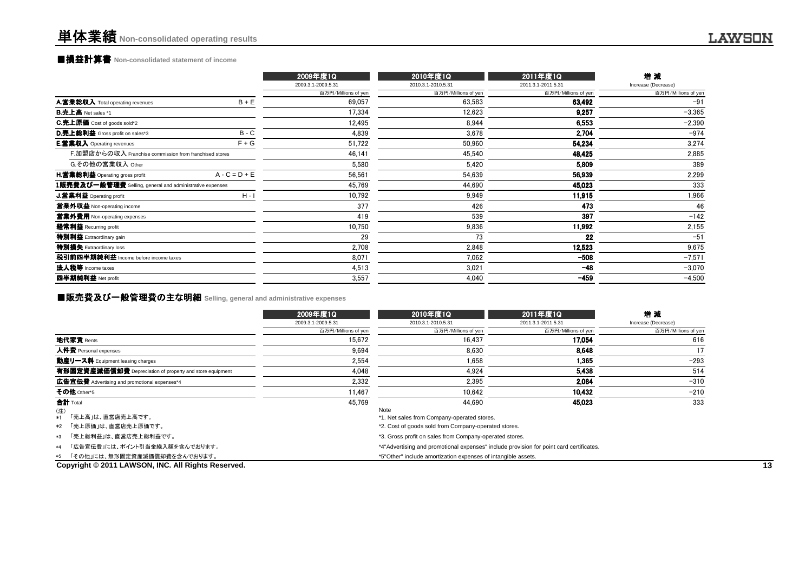### **■損益計算書** Non-consolidated statement of income

|                                                                  | 2009年度1Q            | 2010年度1Q            | 2011年度1Q            | 增減                  |
|------------------------------------------------------------------|---------------------|---------------------|---------------------|---------------------|
|                                                                  | 2009.3.1-2009.5.31  | 2010.3.1-2010.5.31  | 2011.3.1-2011.5.31  | Increase (Decrease) |
|                                                                  | 百万円/Millions of yen | 百万円/Millions of yen | 百万円/Millions of yen | 百万円/Millions of yen |
| $B + E$<br>A.営業総収入 Total operating revenues                      | 69,057              | 63.583              | 63,492              | $-91$               |
| <b>B.売上高 Net sales *1</b>                                        | 17,334              | 12,623              | 9,257               | $-3,365$            |
| C.売上原価 Cost of goods sold*2                                      | 12,495              | 8.944               | 6,553               | $-2,390$            |
| $B - C$<br>D.売上総利益 Gross profit on sales*3                       | 4,839               | 3.678               | 2.704               | $-974$              |
| <b>E.営業収入</b> Operating revenues<br>$F + G$                      | 51,722              | 50,960              | 54,234              | 3,274               |
| F.加盟店からの収入 Franchise commission from franchised stores           | 46,141              | 45,540              | 48,425              | 2,885               |
| G.その他の営業収入 Other                                                 | 5,580               | 5.420               | 5.809               | 389                 |
| $A - C = D + E$<br><b>H.営業総利益</b> Operating gross profit         | 56,561              | 54.639              | 56,939              | 2,299               |
| <b>I.販売費及び一般管理費</b> Selling, general and administrative expenses | 45,769              | 44,690              | 45,023              | 333                 |
| $H - I$<br>J.営業利益 Operating profit                               | 10,792              | 9,949               | 11,915              | 1,966               |
| 営業外収益 Non-operating income                                       | 377                 | 426                 | 473                 | 46                  |
| 営業外費用 Non-operating expenses                                     | 419                 | 539                 | 397                 | $-142$              |
| 経常利益 Recurring profit                                            | 10,750              | 9.836               | 11,992              | 2,155               |
| <b>特別利益</b> Extraordinary gain                                   | 29                  | 73                  | 22                  | $-51$               |
| 特別損失 Extraordinary loss                                          | 2,708               | 2,848               | 12,523              | 9,675               |
| 税引前四半期純利益 Income before income taxes                             | 8,071               | 7,062               | $-508$              | $-7,571$            |
| 法人税等 Income taxes                                                | 4,513               | 3.021               | $-48$               | $-3,070$            |
| 四半期純利益 Net profit                                                | 3,557               | 4,040               | $-459$              | $-4,500$            |

### **■販売費及び一般管理費の主な明細** Selling, general and administrative expenses<br>→

|                                                          | 2009年度1Q            | 2010年度1Q                                                                                                    | 2011年度1Q            | 増減                  |
|----------------------------------------------------------|---------------------|-------------------------------------------------------------------------------------------------------------|---------------------|---------------------|
|                                                          | 2009.3.1-2009.5.31  | 2010.3.1-2010.5.31                                                                                          | 2011.3.1-2011.5.31  | Increase (Decrease) |
|                                                          | 百万円/Millions of yen | 百万円/Millions of yen                                                                                         | 百万円/Millions of yen | 百万円/Millions of yen |
| 地代家賃 Rents                                               | 15.672              | 16.437                                                                                                      | 17.054              | 616                 |
| 人件費 Personal expenses                                    | 9.694               | 8.630                                                                                                       | 8.648               | 17                  |
| 動産リース料 Equipment leasing charges                         | 2,554               | 1.658                                                                                                       | 1,365               | $-293$              |
| 有形固定資産減価償却費 Depreciation of property and store equipment | 4,048               | 4.924                                                                                                       | 5.438               | 514                 |
| 広告宣伝費 Advertising and promotional expenses*4             | 2,332               | 2,395                                                                                                       | 2.084               | $-310$              |
| その他 Other*5                                              | 11.467              | 10.642                                                                                                      | 10.432              | $-210$              |
| 合計 Total                                                 | 45.769              | 44.690                                                                                                      | 45.023              | 333                 |
| (注)<br>「売上高」は、直営店売上高です。<br>$*1$<br>*2 「売上原価」は、直営店売上原価です。 |                     | Note<br>*1. Net sales from Company-operated stores.<br>*2. Cost of goods sold from Company-operated stores. |                     |                     |
| 「売上総利益」は、直営店売上総利益です。<br>*3                               |                     | *3. Gross profit on sales from Company-operated stores.                                                     |                     |                     |
| 「広告宣伝費」には、ポイント引当金繰入額を含んでおります。<br>$*4$                    |                     | *4"Advertising and promotional expenses" include provision for point card certificates.                     |                     |                     |
| 「その他」には、無形固定資産減価償却費を含んでおります。<br>*5                       |                     | *5"Other" include amortization expenses of intangible assets.                                               |                     |                     |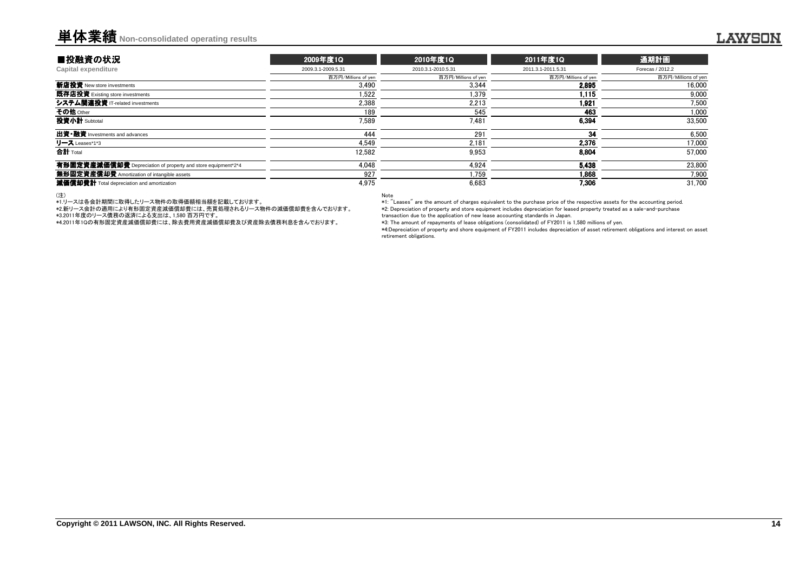### 単体業績**Non-consolidated operating results**

| ■投融資の状況                                                      | 2009年度1Q            | 2010年度1Q            | 2011年度1Q            | 通期計画                |
|--------------------------------------------------------------|---------------------|---------------------|---------------------|---------------------|
| Capital expenditure                                          | 2009.3.1-2009.5.31  | 2010.3.1-2010.5.31  | 2011.3.1-2011.5.31  | Forecas / 2012.2    |
|                                                              | 百万円/Millions of yen | 百万円/Millions of yen | 百万円/Millions of yen | 百万円/Millions of yen |
| 新店投資 New store investments                                   | 3.490               | 3.344               | 2895                | 16.000              |
| 既存店投資 Existing store investments                             | 1.522               | 1.379               | 1.115               | 9.000               |
| システム関連投資 IT-related investments                              | 2.388               | 2.213               | 1.921               | 7.500               |
| その他 Other                                                    | 189                 | 545                 | 463                 | 1,000               |
| 投資小計 Subtotal                                                | 7.589               | 7.481               | 6.394               | 33.500              |
| 出資·融資 Investments and advances                               | 444                 | 291                 | 34                  | 6.500               |
| リース Leases*1*3                                               | 4.549               | 2.181               | 2.376               | 17,000              |
| 合計 Total                                                     | 12,582              | 9.953               | 8.804               | 57.000              |
| 有形固定資産減価償却費 Depreciation of property and store equipment*2*4 | 4.048               | 4.924               | 5.438               | 23.800              |
| 無形固定資産償却費 Amortization of intangible assets                  | 927                 | 1.759               | 1.868               | 7.900               |
| 減価償却費計 Total depreciation and amortization                   | 4.975               | 6.683               | 7.306               | 31.700              |

#### (注)

\*1.リースは各会計期間に取得したリース物件の取得価額相当額を記載しております。 \*2.新リース会計の適用により有形固定資産減価償却費には、売買処理されるリース物件の減価償却費を含んでおります。

\*3.2011年度のリース債務の返済による支出は、1,580 百万円です。 \*4.2011年1Qの有形固定資産減価償却費には、除去費用資産減価償却費及び資産除去債務利息を含んでおります。

Note

 \*1: "Leases" are the amount of charges equivalent to the purchase price of the respective assets for the accounting period. \*2: Depreciation of property and store equipment includes depreciation for leased property treated as a sale-and-purchasetransaction due to the application of new lease accounting standards in Japan.

\*3: The amount of repayments of lease obligations (consolidated) of FY2011 is 1,580 millions of yen.

 \*4:Depreciation of property and shore equipment of FY2011 includes depreciation of asset retirement obligations and interest on assetretirement obligations.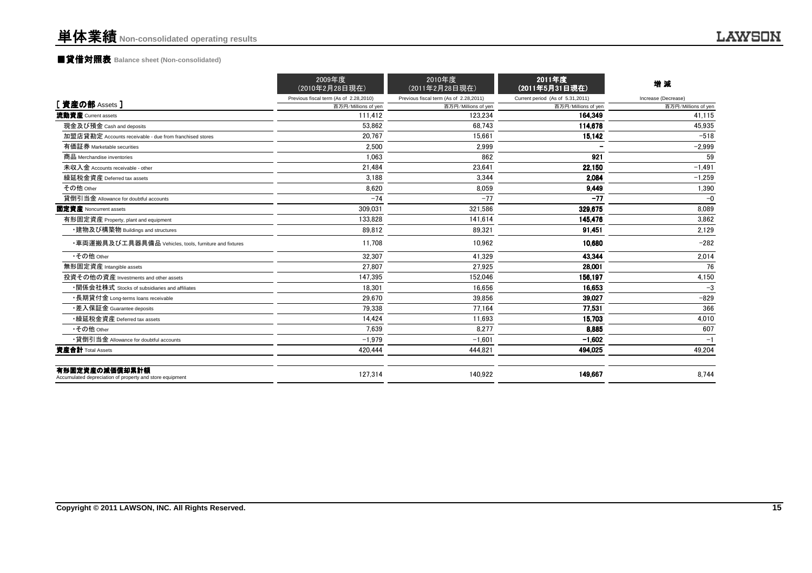### ■貸借対照表 **Balance sheet (Non-consolidated)**

|                                                                            | 2009年度<br>(2010年2月28日現在)               | 2010年度<br>(2011年2月28日現在)               | 2011年度<br>(2011年5月31日現在)         | 増減                  |
|----------------------------------------------------------------------------|----------------------------------------|----------------------------------------|----------------------------------|---------------------|
|                                                                            | Previous fiscal term (As of 2.28,2010) | Previous fiscal term (As of 2.28,2011) | Current period (As of 5.31,2011) | Increase (Decrease) |
| [資産の部 Assets]                                                              | 百万円/Millions of yen                    | 百万円/Millions of yer                    | 百万円/Millions of yen              | 百万円/Millions of yen |
| 流動資産 Current assets                                                        | 111.412                                | 123.234                                | 164.349                          | 41,115              |
| 現金及び預金 Cash and deposits                                                   | 53.862                                 | 68.743                                 | 114.678                          | 45,935              |
| 加盟店貸勘定 Accounts receivable - due from franchised stores                    | 20.767                                 | 15.661                                 | 15,142                           | $-518$              |
| 有価証券 Marketable securities                                                 | 2.500                                  | 2,999                                  |                                  | $-2,999$            |
| 商品 Merchandise inventories                                                 | 1.063                                  | 862                                    | 921                              | 59                  |
| 未収入金 Accounts receivable - other                                           | 21.484                                 | 23,641                                 | 22,150                           | $-1,491$            |
| 繰延税金資産 Deferred tax assets                                                 | 3.188                                  | 3.344                                  | 2.084                            | $-1,259$            |
| その他 Other                                                                  | 8.620                                  | 8,059                                  | 9,449                            | 1,390               |
| 貸倒引当金 Allowance for doubtful accounts                                      | $-74$                                  | $-77$                                  | $-77$                            | $-0$                |
| 固定資産 Noncurrent assets                                                     | 309.031                                | 321.586                                | 329.675                          | 8.089               |
| 有形固定資産 Property, plant and equipment                                       | 133.828                                | 141.614                                | 145.476                          | 3,862               |
| ・建物及び構築物 Buildings and structures                                          | 89.812                                 | 89.321                                 | 91.451                           | 2.129               |
| ・車両運搬具及び工具器具備品 Vehicles, tools, furniture and fixtures                     | 11.708                                 | 10,962                                 | 10.680                           | $-282$              |
| •その他 Other                                                                 | 32.307                                 | 41.329                                 | 43.344                           | 2,014               |
| 無形固定資産 Intangible assets                                                   | 27.807                                 | 27.925                                 | 28,001                           | 76                  |
| 投資その他の資産 Investments and other assets                                      | 147.395                                | 152,046                                | 156.197                          | 4,150               |
| •関係会社株式 Stocks of subsidiaries and affiliates                              | 18.301                                 | 16.656                                 | 16.653                           | $-3$                |
| ・長期貸付金 Long-terms loans receivable                                         | 29.670                                 | 39.856                                 | 39.027                           | $-829$              |
| •差入保証金 Guarantee deposits                                                  | 79.338                                 | 77.164                                 | 77,531                           | 366                 |
| •繰延税金資産 Deferred tax assets                                                | 14.424                                 | 11,693                                 | 15.703                           | 4,010               |
| •その他 Other                                                                 | 7.639                                  | 8.277                                  | 8.885                            | 607                 |
| •貸倒引当金 Allowance for doubtful accounts                                     | $-1,979$                               | $-1,601$                               | $-1.602$                         | $-1$                |
| 資産合計 Total Assets                                                          | 420.444                                | 444.821                                | 494.025                          | 49,204              |
| 有形固定資産の減価償却累計額<br>Accumulated depreciation of property and store equipment | 127.314                                | 140,922                                | 149.667                          | 8.744               |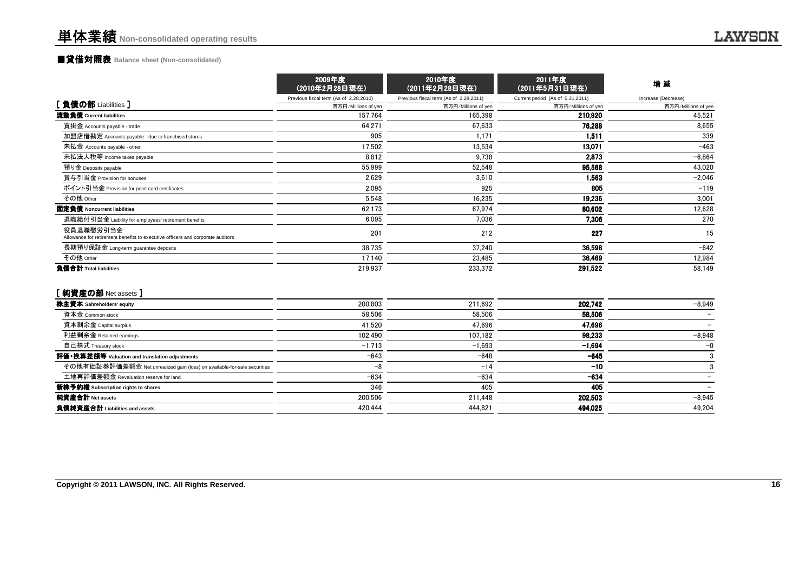### ■貸借対照表 **Balance sheet (Non-consolidated)**

|                                                                                             | 2009年度<br>(2010年2月28日現在)               | 2010年度<br>(2011年2月28日現在)               | 2011年度<br>(2011年5月31日現在)         | 増減                  |
|---------------------------------------------------------------------------------------------|----------------------------------------|----------------------------------------|----------------------------------|---------------------|
|                                                                                             | Previous fiscal term (As of 2.28,2010) | Previous fiscal term (As of 2.28,2011) | Current period (As of 5.31,2011) | Increase (Decrease) |
| [ 負債の部 Liabilities ]                                                                        | 百万円/Millions of yen                    | 百万円/Millions of yen                    | 百万円/Millions of yen              | 百万円/Millions of yen |
| 流動負債 Current liabilities                                                                    | 157,764                                | 165.398                                | 210,920                          | 45,521              |
| 買掛金 Accounts payable - trade                                                                | 64.271                                 | 67,633                                 | 76.288                           | 8,655               |
| 加盟店借勘定 Accounts payable - due to franchised stores                                          | 905                                    | 1.171                                  | 1.511                            | 339                 |
| 未払金 Accounts payable - other                                                                | 17.502                                 | 13,534                                 | 13.071                           | $-463$              |
| 未払法人税等 Income taxes payable                                                                 | 8.812                                  | 9.738                                  | 2.873                            | $-6,864$            |
| 預り金 Deposits payable                                                                        | 55,999                                 | 52,548                                 | 95.568                           | 43,020              |
| 賞与引当金 Provision for bonuses                                                                 | 2,629                                  | 3,610                                  | 1.563                            | $-2,046$            |
| ポイント引当金 Provision for point card certificates                                               | 2,095                                  | 925                                    | 805                              | $-119$              |
| その他 Other                                                                                   | 5,548                                  | 16,235                                 | 19,236                           | 3,001               |
| 固定負債 Noncurrent liabilities                                                                 | 62,173                                 | 67,974                                 | 80.602                           | 12,628              |
| 退職給付引当金 Liability for employees' retirement benefits                                        | 6,095                                  | 7,036                                  | 7.306                            | 270                 |
| 役員退職慰労引当金<br>Allowance for retirement benefits to executive officers and corporate auditors | 201                                    | 212                                    | 227                              | 15                  |
| 長期預り保証金 Long-term guarantee deposits                                                        | 38,735                                 | 37.240                                 | 36,598                           | $-642$              |
| その他 Other                                                                                   | 17,140                                 | 23,485                                 | 36,469                           | 12,984              |
| 負債合計 Total liabilities                                                                      | 219,937                                | 233,372                                | 291,522                          | 58,149              |

#### [純資産の部 Net assets ]

| 200.803  | 211.692  | 202.742  | $-8.949$ |
|----------|----------|----------|----------|
| 58.506   | 58.506   | 58.506   |          |
| 41.520   | 47.696   | 47.696   |          |
| 102.490  | 107.182  | 98.233   | $-8.948$ |
| $-1,713$ | $-1.693$ | $-1.694$ | $-0$     |
| $-643$   | $-648$   | $-645$   |          |
| -8       | $-14$    | $-10$    |          |
| $-634$   | $-634$   | $-634$   |          |
| 346      | 405      | 405      |          |
| 200.506  | 211.448  | 202.503  | $-8,945$ |
| 420.444  | 444.821  | 494,025  | 49,204   |
|          |          |          |          |